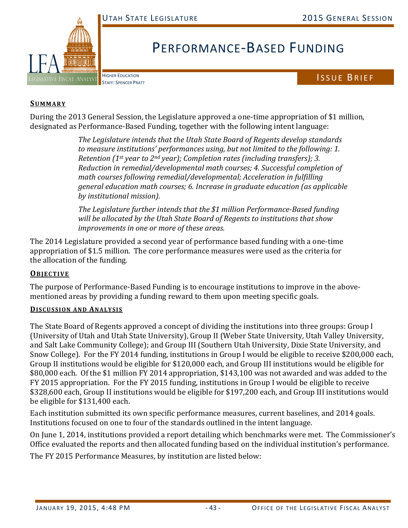

# PERFORMANCE‐BASED FUNDING

HIGHER EDUCATION

# HIGHER EDUCATION<br>STAFF: SPENCER PRATT

### **SUMMARY**

During the 2013 General Session, the Legislature approved a one-time appropriation of \$1 million, designated as Performance-Based Funding, together with the following intent language:

> *The Legislature intends that the Utah State Board of Regents develop standards to measure institutions' performances using, but not limited to the following: 1. Retention (1st year to 2nd year); Completion rates (including transfers); 3. Reduction in remedial/developmental math courses; 4. Successful completion of math courses following remedial/developmental; Acceleration in fulfilling general education math courses; 6. Increase in graduate education (as applicable by institutional mission).*

*The Legislature further intends that the \$1 million Performance‐Based funding will be allocated by the Utah State Board of Regents to institutions that show improvements in one or more of these areas.*

The 2014 Legislature provided a second year of performance based funding with a one-time appropriation of \$1.5 million. The core performance measures were used as the criteria for the allocation of the funding.

# **OBJECTIVE**

The purpose of Performance-Based Funding is to encourage institutions to improve in the abovementioned areas by providing a funding reward to them upon meeting specific goals.

#### **DISCUSSION AND ANALYSIS**

The State Board of Regents approved a concept of dividing the institutions into three groups: Group I (University of Utah and Utah State University), Group II (Weber State University, Utah Valley University, and Salt Lake Community College); and Group III (Southern Utah University, Dixie State University, and Snow College). For the FY 2014 funding, institutions in Group I would be eligible to receive \$200,000 each, Group II institutions would be eligible for \$120,000 each, and Group III institutions would be eligible for \$80,000 each. Of the \$1 million FY 2014 appropriation, \$143,100 was not awarded and was added to the FY 2015 appropriation. For the FY 2015 funding, institutions in Group I would be eligible to receive \$328,600 each, Group II institutions would be eligible for \$197,200 each, and Group III institutions would be eligible for \$131,400 each.

Each institution submitted its own specific performance measures, current baselines, and 2014 goals. Institutions focused on one to four of the standards outlined in the intent language.

On June 1, 2014, institutions provided a report detailing which benchmarks were met. The Commissioner's Office evaluated the reports and then allocated funding based on the individual institution's performance.

The FY 2015 Performance Measures, by institution are listed below: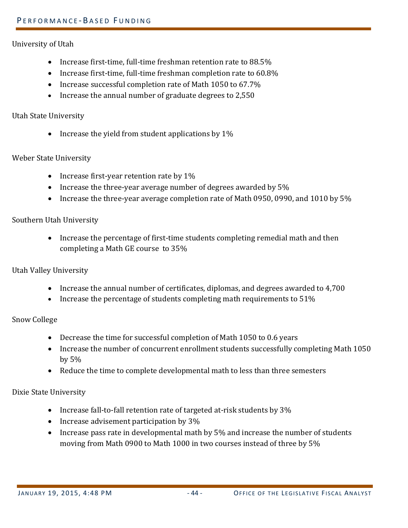#### University of Utah

- Increase first-time, full-time freshman retention rate to  $88.5\%$
- Increase first-time, full-time freshman completion rate to  $60.8\%$
- Increase successful completion rate of Math  $1050$  to  $67.7\%$
- Increase the annual number of graduate degrees to 2,550

#### Utah State University

• Increase the yield from student applications by  $1\%$ 

#### Weber State University

- Increase first-year retention rate by  $1\%$
- Increase the three-year average number of degrees awarded by  $5\%$
- Increase the three-year average completion rate of Math 0950, 0990, and 1010 by  $5\%$

#### Southern Utah University

• Increase the percentage of first-time students completing remedial math and then completing a Math GE course to  $35%$ 

# Utah Valley University

- Increase the annual number of certificates, diplomas, and degrees awarded to 4,700
- Increase the percentage of students completing math requirements to  $51\%$

# Snow College

- Decrease the time for successful completion of Math 1050 to 0.6 years
- Increase the number of concurrent enrollment students successfully completing Math 1050 by  $5%$
- Reduce the time to complete developmental math to less than three semesters

# Dixie State University

- Increase fall-to-fall retention rate of targeted at-risk students by  $3\%$
- Increase advisement participation by 3%
- Increase pass rate in developmental math by 5% and increase the number of students moving from Math 0900 to Math 1000 in two courses instead of three by 5%